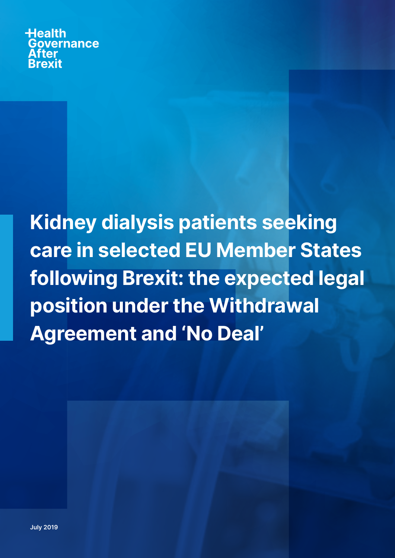**Health** Governance **Rrexit** 

Kidney dialysis patients seeking care in selected EU Member States following Brexit: the expected legal position under the Withdrawal Agreement and 'No Deal'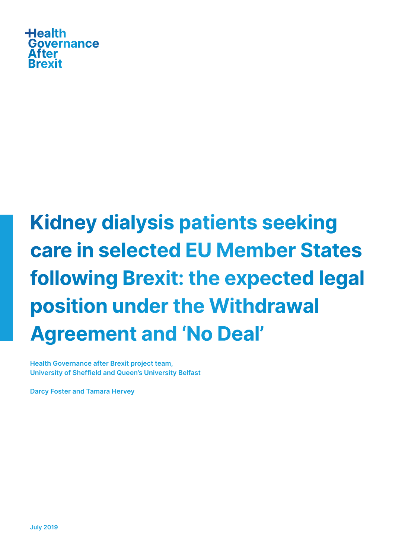

# Kidney dialysis patients seeking care in selected EU Member States following Brexit: the expected legal position under the Withdrawal Agreement and 'No Deal'

Health Governance after Brexit project team, University of Sheffield and Queen's University Belfast

Darcy Foster and Tamara Hervey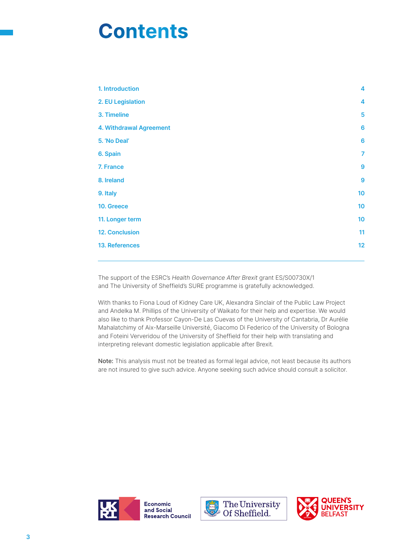# **Contents**

| 1. Introduction                | 4               |
|--------------------------------|-----------------|
| 2. EU Legislation              | 4               |
| 3. Timeline                    | 5               |
| <b>4. Withdrawal Agreement</b> | $6\phantom{1}6$ |
| 5. 'No Deal'                   | $6\phantom{a}$  |
| 6. Spain                       | $\overline{7}$  |
| 7. France                      | 9               |
| 8. Ireland                     | 9               |
| 9. Italy                       | 10              |
| 10. Greece                     | 10              |
| 11. Longer term                | 10              |
| <b>12. Conclusion</b>          | 11              |
| 13. References                 | 12              |
|                                |                 |

The support of the ESRC's Health Governance After Brexit grant ES/S00730X/1 and The University of Sheffield's SURE programme is gratefully acknowledged.

With thanks to Fiona Loud of Kidney Care UK, Alexandra Sinclair of the Public Law Project and Andelka M. Phillips of the University of Waikato for their help and expertise. We would also like to thank Professor Cayon-De Las Cuevas of the University of Cantabria, Dr Aurélie Mahalatchimy of Aix-Marseille Université, Giacomo Di Federico of the University of Bologna and Foteini Ververidou of the University of Sheffield for their help with translating and interpreting relevant domestic legislation applicable after Brexit.

Note: This analysis must not be treated as formal legal advice, not least because its authors are not insured to give such advice. Anyone seeking such advice should consult a solicitor.





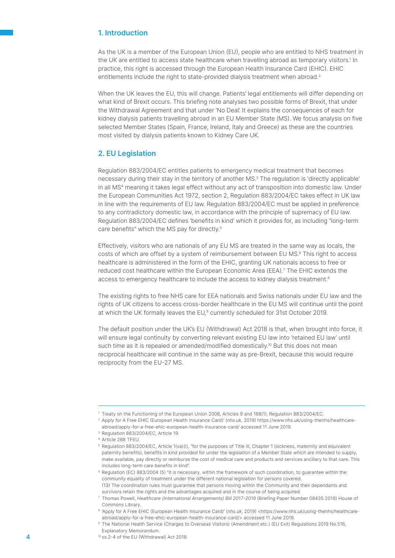# 1. Introduction

As the UK is a member of the European Union (EU), people who are entitled to NHS treatment in the UK are entitled to access state healthcare when travelling abroad as temporary visitors.<sup>1</sup> In practice, this right is accessed through the European Health Insurance Card (EHIC). EHIC entitlements include the right to state-provided dialysis treatment when abroad.<sup>2</sup>

When the UK leaves the EU, this will change. Patients' legal entitlements will differ depending on what kind of Brexit occurs. This briefing note analyses two possible forms of Brexit, that under the Withdrawal Agreement and that under 'No Deal'. It explains the consequences of each for kidney dialysis patients travelling abroad in an EU Member State (MS). We focus analysis on five selected Member States (Spain, France, Ireland, Italy and Greece) as these are the countries most visited by dialysis patients known to Kidney Care UK.

#### 2. EU Legislation

Regulation 883/2004/EC entitles patients to emergency medical treatment that becomes necessary during their stay in the territory of another MS.<sup>3</sup> The regulation is 'directly applicable' in all MS<sup>4</sup> meaning it takes legal effect without any act of transposition into domestic law. Under the European Communities Act 1972, section 2, Regulation 883/2004/EC takes effect in UK law in line with the requirements of EU law. Regulation 883/2004/EC must be applied in preference to any contradictory domestic law, in accordance with the principle of supremacy of EU law. Regulation 883/2004/EC defines 'benefits in kind' which it provides for, as including "long-term care benefits" which the MS pay for directly.5

Effectively, visitors who are nationals of any EU MS are treated in the same way as locals, the costs of which are offset by a system of reimbursement between EU MS.<sup>6</sup> This right to access healthcare is administered in the form of the EHIC, granting UK nationals access to free or reduced cost healthcare within the European Economic Area (EEA).<sup>7</sup> The EHIC extends the access to emergency healthcare to include the access to kidney dialysis treatment.<sup>8</sup>

The existing rights to free NHS care for EEA nationals and Swiss nationals under EU law and the rights of UK citizens to access cross-border healthcare in the EU MS will continue until the point at which the UK formally leaves the EU,9 currently scheduled for 31st October 2019.

The default position under the UK's EU (Withdrawal) Act 2018 is that, when brought into force, it will ensure legal continuity by converting relevant existing EU law into 'retained EU law' until such time as it is repealed or amended/modified domestically.<sup>10</sup> But this does not mean reciprocal healthcare will continue in the same way as pre-Brexit, because this would require reciprocity from the EU-27 MS.

<sup>1</sup> Treaty on the Functioning of the European Union 2008, Articles 9 and 168(1); Regulation 883/2004/EC.

<sup>&</sup>lt;sup>2</sup> Apply for A Free EHIC (European Health Insurance Card)' (nhs.uk, 2019) https://www.nhs.uk/using-thenhs/healthcareabroad/apply-for-a-free-ehic-european-health-insurance-card/ accessed 11 June 2019.

<sup>&</sup>lt;sup>3</sup> Regulation 883/2004/EC, Article 19.

<sup>4</sup> Article 288 TFEU.

<sup>&</sup>lt;sup>5</sup> Regulation 883/2004/EC, Article 1(va)(i), "for the purposes of Title III, Chapter 1 (sickness, maternity and equivalent paternity benefits), benefits in kind provided for under the legislation of a Member State which are intended to supply, make available, pay directly or reimburse the cost of medical care and products and services ancillary to that care. This includes long-term care benefits in kind".

<sup>&</sup>lt;sup>6</sup> Regulation (EC) 883/2004 (5) "it is necessary, within the framework of such coordination, to guarantee within the community equality of treatment under the different national legislation for persons covered. (13) The coordination rules must guarantee that persons moving within the Community and their dependants and survivors retain the rights and the advantages acquired and in the course of being acquired.

<sup>7</sup> Thomas Powell, Healthcare (International Arrangements) Bill 2017-2019 (Briefing Paper Number 08435 2019) House of Commons Library.

<sup>&</sup>lt;sup>8</sup> 'Apply for A Free EHIC (European Health Insurance Card)' (nhs.uk, 2019) <https://www.nhs.uk/using-thenhs/healthcareabroad/apply-for-a-free-ehic-european-health-insurance-card/> accessed 11 June 2019.

<sup>&</sup>lt;sup>9</sup> The National Health Service (Charges to Overseas Visitors) (Amendment etc.) (EU Exit) Regulations 2019 No.516, Explanatory Memorandum.

<sup>10</sup> ss.2-4 of the EU (Withdrawal) Act 2018.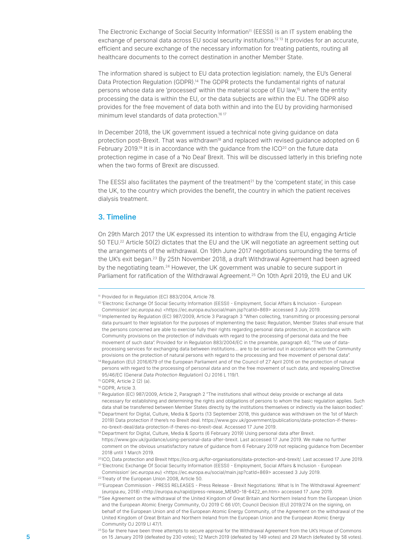The Electronic Exchange of Social Security Information<sup>11</sup> (EESSI) is an IT system enabling the exchange of personal data across EU social security institutions.<sup>1213</sup> It provides for an accurate, efficient and secure exchange of the necessary information for treating patients, routing all healthcare documents to the correct destination in another Member State.

The information shared is subject to EU data protection legislation: namely, the EU's General Data Protection Regulation (GDPR).<sup>14</sup> The GDPR protects the fundamental rights of natural persons whose data are 'processed' within the material scope of EU law,15 where the entity processing the data is within the EU, or the data subjects are within the EU. The GDPR also provides for the free movement of data both within and into the EU by providing harmonised minimum level standards of data protection.<sup>16 17</sup>

In December 2018, the UK government issued a technical note giving guidance on data protection post-Brexit. That was withdrawn<sup>18</sup> and replaced with revised guidance adopted on 6 February 2019.<sup>19</sup> It is in accordance with the guidance from the ICO<sup>20</sup> on the future data protection regime in case of a 'No Deal' Brexit. This will be discussed latterly in this briefing note when the two forms of Brexit are discussed.

The EESSI also facilitates the payment of the treatment<sup>21</sup> by the 'competent state', in this case the UK, to the country which provides the benefit, the country in which the patient receives dialysis treatment.

# 3. Timeline

On 29th March 2017 the UK expressed its intention to withdraw from the EU, engaging Article 50 TEU.22 Article 50(2) dictates that the EU and the UK will negotiate an agreement setting out the arrangements of the withdrawal. On 19th June 2017 negotiations surrounding the terms of the UK's exit began.23 By 25th November 2018, a draft Withdrawal Agreement had been agreed by the negotiating team.<sup>24</sup> However, the UK government was unable to secure support in Parliament for ratification of the Withdrawal Agreement.<sup>25</sup> On 10th April 2019, the EU and UK

<sup>&</sup>lt;sup>11</sup> Provided for in Regulation (EC) 883/2004, Article 78.

<sup>&</sup>lt;sup>12</sup> 'Electronic Exchange Of Social Security Information (EESSI) - Employment, Social Affairs & Inclusion - European Commission' (ec.europa.eu) <https://ec.europa.eu/social/main.jsp?catId=869> accessed 3 July 2019.

<sup>&</sup>lt;sup>13</sup> Implemented by Regulation (EC) 987/2009, Article 3 Paragraph 3 "When collecting, transmitting or processing personal data pursuant to their legislation for the purposes of implementing the basic Regulation, Member States shall ensure that the persons concerned are able to exercise fully their rights regarding personal data protection, in accordance with Community provisions on the protection of individuals with regard to the processing of personal data and the free movement of such data". Provided for in Regulation 883/2004/EC in the preamble, paragraph 40, "The use of dataprocessing services for exchanging data between institutions… are to be carried out in accordance with the Community provisions on the protection of natural persons with regard to the processing and free movement of personal data".

<sup>&</sup>lt;sup>14</sup> Regulation (EU) 2016/679 of the European Parliament and of the Council of 27 April 2016 on the protection of natural persons with regard to the processing of personal data and on the free movement of such data, and repealing Directive 95/46/EC (General Data Protection Regulation) OJ 2016 L 119/1.

<sup>&</sup>lt;sup>15</sup> GDPR, Article 2 (2) (a).

<sup>16</sup> GDPR, Article 3.

<sup>&</sup>lt;sup>17</sup> Regulation (EC) 987/2009, Article 2, Paragraph 2 "The institutions shall without delay provide or exchange all data necessary for establishing and determining the rights and obligations of persons to whom the basic regulation applies. Such data shall be transferred between Member States directly by the institutions themselves or indirectly via the liaison bodies".

<sup>&</sup>lt;sup>18</sup> Department for Digital, Culture, Media & Sports (13 September 2018, this guidance was withdrawn on the 1st of March 2019) Data protection if there's no Brexit deal. https://www.gov.uk/government/publications/data-protection-if-theresno-brexit-deal/data-protection-if-theres-no-brexit-deal. Accessed 17 June 2019.

<sup>19</sup> Department for Digital, Culture, Media & Sports (6 February 2019) Using personal data after Brexit. https://www.gov.uk/guidance/using-personal-data-after-brexit. Last accessed 17 June 2019. We make no further comment on the obvious unsatisfactory nature of guidance from 6 February 2019 not replacing guidance from December 2018 until 1 March 2019.

<sup>&</sup>lt;sup>20</sup> ICO, Data protection and Brexit https://ico.org.uk/for-organisations/data-protection-and-brexit/. Last accessed 17 June 2019. <sup>21</sup>'Electronic Exchange Of Social Security Information (EESSI) - Employment, Social Affairs & Inclusion - European

Commission' (ec.europa.eu) <https://ec.europa.eu/social/main.jsp?catId=869> accessed 3 July 2019. <sup>22</sup> Treaty of the European Union 2008, Article 50.

<sup>&</sup>lt;sup>23</sup>'European Commission - PRESS RELEASES - Press Release - Brexit Negotiations: What Is In The Withdrawal Agreement' (europa.eu, 2018) <http://europa.eu/rapid/press-release\_MEMO-18-6422\_en.htm> accessed 17 June 2019.

<sup>&</sup>lt;sup>24</sup> See Agreement on the withdrawal of the United Kingdom of Great Britain and Northern Ireland from the European Union and the European Atomic Energy Community, OJ 2019 C 66 I/01; Council Decision (EU) 2019/274 on the signing, on behalf of the European Union and of the European Atomic Energy Community, of the Agreement on the withdrawal of the United Kingdom of Great Britain and Northern Ireland from the European Union and the European Atomic Energy Community OJ 2019 LI 47/1.

<sup>&</sup>lt;sup>25</sup> So far there have been three attempts to secure approval for the Withdrawal Agreement from the UK's House of Commons 5 on 15 January 2019 (defeated by 230 votes); 12 March 2019 (defeated by 149 votes) and 29 March (defeated by 58 votes).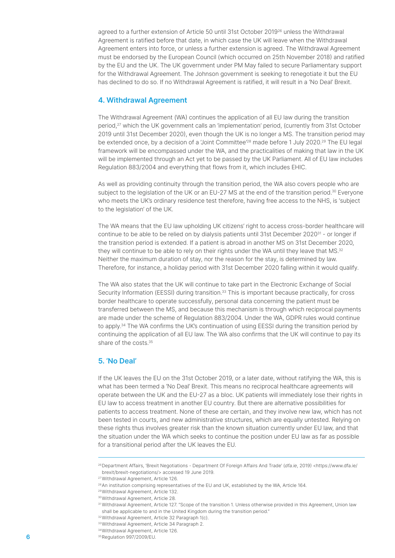agreed to a further extension of Article 50 until 31st October 2019<sup>26</sup> unless the Withdrawal Agreement is ratified before that date, in which case the UK will leave when the Withdrawal Agreement enters into force, or unless a further extension is agreed. The Withdrawal Agreement must be endorsed by the European Council (which occurred on 25th November 2018) and ratified by the EU and the UK. The UK government under PM May failed to secure Parliamentary support for the Withdrawal Agreement. The Johnson government is seeking to renegotiate it but the EU has declined to do so. If no Withdrawal Agreement is ratified, it will result in a 'No Deal' Brexit.

#### 4. Withdrawal Agreement

The Withdrawal Agreement (WA) continues the application of all EU law during the transition period,27 which the UK government calls an 'implementation' period, (currently from 31st October 2019 until 31st December 2020), even though the UK is no longer a MS. The transition period may be extended once, by a decision of a 'Joint Committee'<sup>28</sup> made before 1 July 2020.<sup>29</sup> The EU legal framework will be encompassed under the WA, and the practicalities of making that law in the UK will be implemented through an Act yet to be passed by the UK Parliament. All of EU law includes Regulation 883/2004 and everything that flows from it, which includes EHIC.

As well as providing continuity through the transition period, the WA also covers people who are subject to the legislation of the UK or an EU-27 MS at the end of the transition period.<sup>30</sup> Everyone who meets the UK's ordinary residence test therefore, having free access to the NHS, is 'subject to the legislation' of the UK.

The WA means that the EU law upholding UK citizens' right to access cross-border healthcare will continue to be able to be relied on by dialysis patients until 31st December 202031 - or longer if the transition period is extended. If a patient is abroad in another MS on 31st December 2020, they will continue to be able to rely on their rights under the WA until they leave that MS.<sup>32</sup> Neither the maximum duration of stay, nor the reason for the stay, is determined by law. Therefore, for instance, a holiday period with 31st December 2020 falling within it would qualify.

The WA also states that the UK will continue to take part in the Electronic Exchange of Social Security Information (EESSI) during transition.<sup>33</sup> This is important because practically, for cross border healthcare to operate successfully, personal data concerning the patient must be transferred between the MS, and because this mechanism is through which reciprocal payments are made under the scheme of Regulation 883/2004. Under the WA, GDPR rules would continue to apply.<sup>34</sup> The WA confirms the UK's continuation of using EESSI during the transition period by continuing the application of all EU law. The WA also confirms that the UK will continue to pay its share of the costs.35

# 5. 'No Deal'

If the UK leaves the EU on the 31st October 2019, or a later date, without ratifying the WA, this is what has been termed a 'No Deal' Brexit. This means no reciprocal healthcare agreements will operate between the UK and the EU-27 as a bloc. UK patients will immediately lose their rights in EU law to access treatment in another EU country. But there are alternative possibilities for patients to access treatment. None of these are certain, and they involve new law, which has not been tested in courts, and new administrative structures, which are equally untested. Relying on these rights thus involves greater risk than the known situation currently under EU law, and that the situation under the WA which seeks to continue the position under EU law as far as possible for a transitional period after the UK leaves the EU.

<sup>&</sup>lt;sup>26</sup> Department Affairs, 'Brexit Negotiations - Department Of Foreign Affairs And Trade' (dfa.ie, 2019) <https://www.dfa.ie/ brexit/brexit-negotiations/> accessed 19 June 2019.

<sup>27</sup>Withdrawal Agreement, Article 126.

<sup>&</sup>lt;sup>28</sup> An institution comprising representatives of the EU and UK, established by the WA, Article 164.

<sup>29</sup>Withdrawal Agreement, Article 132.

<sup>30</sup>Withdrawal Agreement, Article 28.

<sup>31</sup> Withdrawal Agreement, Article 127. "Scope of the transition 1. Unless otherwise provided in this Agreement, Union law shall be applicable to and in the United Kingdom during the transition period."

<sup>32</sup> Withdrawal Agreement, Article 32 Paragraph 1(c).

<sup>33</sup> Withdrawal Agreement, Article 34 Paragraph 2.

<sup>34</sup>Withdrawal Agreement, Article 126.

**<sup>6</sup>** 35 Regulation 997/2009/EU.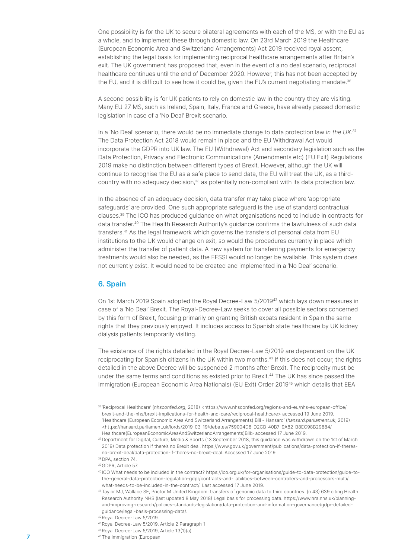One possibility is for the UK to secure bilateral agreements with each of the MS, or with the EU as a whole, and to implement these through domestic law. On 23rd March 2019 the Healthcare (European Economic Area and Switzerland Arrangements) Act 2019 received royal assent, establishing the legal basis for implementing reciprocal healthcare arrangements after Britain's exit. The UK government has proposed that, even in the event of a no deal scenario, reciprocal healthcare continues until the end of December 2020. However, this has not been accepted by the EU, and it is difficult to see how it could be, given the EU's current negotiating mandate.<sup>36</sup>

A second possibility is for UK patients to rely on domestic law in the country they are visiting. Many EU 27 MS, such as Ireland, Spain, Italy, France and Greece, have already passed domestic legislation in case of a 'No Deal' Brexit scenario.

In a 'No Deal' scenario, there would be no immediate change to data protection law in the UK.<sup>37</sup> The Data Protection Act 2018 would remain in place and the EU Withdrawal Act would incorporate the GDPR into UK law. The EU (Withdrawal) Act and secondary legislation such as the Data Protection, Privacy and Electronic Communications (Amendments etc) (EU Exit) Regulations 2019 make no distinction between different types of Brexit. However, although the UK will continue to recognise the EU as a safe place to send data, the EU will treat the UK, as a thirdcountry with no adequacy decision,<sup>38</sup> as potentially non-compliant with its data protection law.

In the absence of an adequacy decision, data transfer may take place where 'appropriate safeguards' are provided. One such appropriate safeguard is the use of standard contractual clauses.39 The ICO has produced guidance on what organisations need to include in contracts for data transfer.<sup>40</sup> The Health Research Authority's guidance confirms the lawfulness of such data transfers.<sup>41</sup> As the legal framework which governs the transfers of personal data from EU institutions to the UK would change on exit, so would the procedures currently in place which administer the transfer of patient data. A new system for transferring payments for emergency treatments would also be needed, as the EESSI would no longer be available. This system does not currently exist. It would need to be created and implemented in a 'No Deal' scenario.

#### 6. Spain

On 1st March 2019 Spain adopted the Royal Decree-Law 5/2019<sup>42</sup> which lays down measures in case of a 'No Deal' Brexit. The Royal-Decree-Law seeks to cover all possible sectors concerned by this form of Brexit, focusing primarily on granting British expats resident in Spain the same rights that they previously enjoyed. It includes access to Spanish state healthcare by UK kidney dialysis patients temporarily visiting.

The existence of the rights detailed in the Royal Decree-Law 5/2019 are dependent on the UK reciprocating for Spanish citizens in the UK within two months.<sup>43</sup> If this does not occur, the rights detailed in the above Decree will be suspended 2 months after Brexit. The reciprocity must be under the same terms and conditions as existed prior to Brexit.<sup>44</sup> The UK has since passed the Immigration (European Economic Area Nationals) (EU Exit) Order 201945 which details that EEA

<sup>36&#</sup>x27;Reciprocal Healthcare' (nhsconfed.org, 2018) <https://www.nhsconfed.org/regions-and-eu/nhs-european-office/ brexit-and-the-nhs/brexit-implications-for-health-and-care/reciprocal-healthcare> accessed 19 June 2019. 'Healthcare (European Economic Area And Switzerland Arrangements) Bill - Hansard' (hansard.parliament.uk, 2019) <https://hansard.parliament.uk/lords/2019-03-19/debates/759004D8-D2CB-40B7-9A82-B8EC98B29884/ Healthcare(EuropeanEconomicAreaAndSwitzerlandArrangements)Bill> accessed 17 June 2019.

<sup>37</sup> Department for Digital, Culture, Media & Sports (13 September 2018, this guidance was withdrawn on the 1st of March 2019) Data protection if there's no Brexit deal. https://www.gov.uk/government/publications/data-protection-if-theresno-brexit-deal/data-protection-if-theres-no-brexit-deal. Accessed 17 June 2019.

<sup>38</sup> DPA, section 74.

<sup>39</sup>GDPR, Article 57.

<sup>40</sup> ICO What needs to be included in the contract? https://ico.org.uk/for-organisations/guide-to-data-protection/guide-tothe-general-data-protection-regulation-gdpr/contracts-and-liabilities-between-controllers-and-processors-multi/ what-needs-to-be-included-in-the-contract/. Last accessed 17 June 2019.

<sup>41</sup> Taylor MJ, Wallace SE, Prictor M United Kingdom: transfers of genomic data to third countries. (n 43) 639 citing Health Research Authority NHS (last updated 8 May 2018) Legal basis for processing data. https://www.hra.nhs.uk/planningand-improving-research/policies-standards-legislation/data-protection-and-information-governance/gdpr-detailedguidance/legal-basis-processing-data/.

<sup>42</sup>Royal Decree-Law 5/2019.

<sup>43</sup>Royal Decree-Law 5/2019, Article 2 Paragraph 1

<sup>44</sup> Royal Decree-Law 5/2019, Article 13(1)(a)

<sup>45</sup> 7 The Immigration (European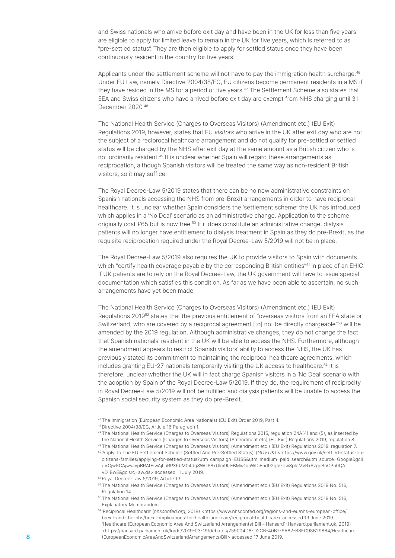and Swiss nationals who arrive before exit day and have been in the UK for less than five years are eligible to apply for limited leave to remain in the UK for five years, which is referred to as "pre-settled status". They are then eligible to apply for settled status once they have been continuously resident in the country for five years.

Applicants under the settlement scheme will not have to pay the immigration health surcharge.<sup>46</sup> Under EU Law, namely Directive 2004/38/EC, EU citizens become permanent residents in a MS if they have resided in the MS for a period of five years.<sup>47</sup> The Settlement Scheme also states that EEA and Swiss citizens who have arrived before exit day are exempt from NHS charging until 31 December 2020.<sup>48</sup>

The National Health Service (Charges to Overseas Visitors) (Amendment etc.) (EU Exit) Regulations 2019, however, states that EU visitors who arrive in the UK after exit day who are not the subject of a reciprocal healthcare arrangement and do not qualify for pre-settled or settled status will be charged by the NHS after exit day at the same amount as a British citizen who is not ordinarily resident.<sup>49</sup> It is unclear whether Spain will regard these arrangements as reciprocation, although Spanish visitors will be treated the same way as non-resident British visitors, so it may suffice.

The Royal Decree-Law 5/2019 states that there can be no new administrative constraints on Spanish nationals accessing the NHS from pre-Brexit arrangements in order to have reciprocal healthcare. It is unclear whether Spain considers the 'settlement scheme' the UK has introduced which applies in a 'No Deal' scenario as an administrative change. Application to the scheme originally cost £65 but is now free.<sup>50</sup> If it does constitute an administrative change, dialysis patients will no longer have entitlement to dialysis treatment in Spain as they do pre-Brexit, as the requisite reciprocation required under the Royal Decree-Law 5/2019 will not be in place.

The Royal Decree-Law 5/2019 also requires the UK to provide visitors to Spain with documents which "certify health coverage payable by the corresponding British entities"<sup>51</sup> in place of an EHIC. If UK patients are to rely on the Royal Decree-Law, the UK government will have to issue special documentation which satisfies this condition. As far as we have been able to ascertain, no such arrangements have yet been made.

The National Health Service (Charges to Overseas Visitors) (Amendment etc.) (EU Exit) Regulations 201952 states that the previous entitlement of "overseas visitors from an EEA state or Switzerland, who are covered by a reciprocal agreement [to] not be directly chargeable"<sup>53</sup> will be amended by the 2019 regulation. Although administrative changes, they do not change the fact that Spanish nationals' resident in the UK will be able to access the NHS. Furthermore, although the amendment appears to restrict Spanish visitors' ability to access the NHS, the UK has previously stated its commitment to maintaining the reciprocal healthcare agreements, which includes granting EU-27 nationals temporarily visiting the UK access to healthcare.<sup>54</sup> It is therefore, unclear whether the UK will in fact charge Spanish visitors in a 'No Deal' scenario with the adoption by Spain of the Royal Decree-Law 5/2019. If they do, the requirement of reciprocity in Royal Decree-Law 5/2019 will not be fulfilled and dialysis patients will be unable to access the Spanish social security system as they do pre-Brexit.

<sup>46</sup> The Immigration (European Economic Area Nationals) (EU Exit) Order 2019, Part 4.

<sup>47</sup> Directive 2004/38/EC, Article 16 Paragraph 1.

<sup>48</sup> The National Health Service (Charges to Overseas Visitors) Regulations 2015, regulation 24A(4) and (5), as inserted by the National Health Service (Charges to Overseas Visitors) (Amendment etc) (EU Exit) Regulations 2019, regulation 8. 49 The National Health Service (Charges to Overseas Visitors) (Amendment etc.) (EU Exit) Regulations 2019, regulation 7.

<sup>50&#</sup>x27;Apply To The EU Settlement Scheme (Settled And Pre-Settled Status)' (GOV.UK) <https://www.gov.uk/settled-status-eucitizens-families/applying-for-settled-status?utm\_campaign=EUSS&utm\_medium=paid\_search&utm\_source=Google&gcli d=CjwKCAjwvJvpBRAtEiwAjLuRPX6bM04dq8WO98xUlm9IJ-BMw1qaWDiF5d92gbGow8ploMvRxAzgcBoCPu0QA vD\_BwE&gclsrc=aw.ds> accessed 11 July 2019.

<sup>51</sup> Royal Decree-Law 5/2019, Article 13.

<sup>52</sup> The National Health Service (Charges to Overseas Visitors) (Amendment etc.) (EU Exit) Regulations 2019 No. 516, Regulation 14.

<sup>&</sup>lt;sup>53</sup> The National Health Service (Charges to Overseas Visitors) (Amendment etc.) (EU Exit) Regulations 2019 No. 516, Explanatory Memorandum.

<sup>54 &#</sup>x27;Reciprocal Healthcare' (nhsconfed.org, 2018) <https://www.nhsconfed.org/regions-and-eu/nhs-european-office/ brexit-and-the-nhs/brexit-implications-for-health-and-care/reciprocal-healthcare> accessed 19 June 2019. 'Healthcare (European Economic Area And Switzerland Arrangements) Bill – Hansard' (Hansard.parliament.uk, 2019) <https://hansard.parliament.uk/lords/2019-03-19/debates/759004D8-D2CB-40B7-9A82-B8EC98B29884/Healthcare 8 (EuropeanEconomicAreaAndSwitzerlandArrangements)Bill> accessed 17 June 2019.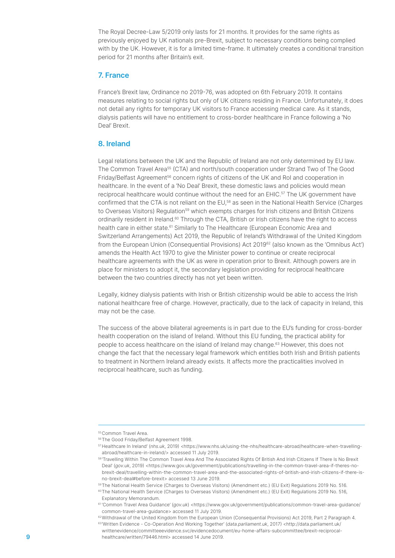The Royal Decree-Law 5/2019 only lasts for 21 months. It provides for the same rights as previously enjoyed by UK nationals pre-Brexit, subject to necessary conditions being complied with by the UK. However, it is for a limited time-frame. It ultimately creates a conditional transition period for 21 months after Britain's exit.

# 7. France

France's Brexit law, Ordinance no 2019-76, was adopted on 6th February 2019. It contains measures relating to social rights but only of UK citizens residing in France. Unfortunately, it does not detail any rights for temporary UK visitors to France accessing medical care. As it stands, dialysis patients will have no entitlement to cross-border healthcare in France following a 'No Deal' Brexit.

# 8. Ireland

Legal relations between the UK and the Republic of Ireland are not only determined by EU law. The Common Travel Area<sup>55</sup> (CTA) and north/south cooperation under Strand Two of The Good Friday/Belfast Agreement<sup>56</sup> concern rights of citizens of the UK and RoI and cooperation in healthcare. In the event of a 'No Deal' Brexit, these domestic laws and policies would mean reciprocal healthcare would continue without the need for an EHIC.57 The UK government have confirmed that the CTA is not reliant on the EU,<sup>58</sup> as seen in the National Health Service (Charges to Overseas Visitors) Regulation<sup>59</sup> which exempts charges for Irish citizens and British Citizens ordinarily resident in Ireland.60 Through the CTA, British or Irish citizens have the right to access health care in either state.<sup>61</sup> Similarly to The Healthcare (European Economic Area and Switzerland Arrangements) Act 2019, the Republic of Ireland's Withdrawal of the United Kingdom from the European Union (Consequential Provisions) Act 2019<sup>62</sup> (also known as the 'Omnibus Act') amends the Health Act 1970 to give the Minister power to continue or create reciprocal healthcare agreements with the UK as were in operation prior to Brexit. Although powers are in place for ministers to adopt it, the secondary legislation providing for reciprocal healthcare between the two countries directly has not yet been written.

Legally, kidney dialysis patients with Irish or British citizenship would be able to access the Irish national healthcare free of charge. However, practically, due to the lack of capacity in Ireland, this may not be the case.

The success of the above bilateral agreements is in part due to the EU's funding for cross-border health cooperation on the island of Ireland. Without this EU funding, the practical ability for people to access healthcare on the island of Ireland may change.<sup>63</sup> However, this does not change the fact that the necessary legal framework which entitles both Irish and British patients to treatment in Northern Ireland already exists. It affects more the practicalities involved in reciprocal healthcare, such as funding.

62 Withdrawal of the United Kingdom from the European Union (Consequential Provisions) Act 2019, Part 2 Paragraph 4. 63'Written Evidence - Co-Operation And Working Together' (data.parliament.uk, 2017) <http://data.parliament.uk/

<sup>55</sup>Common Travel Area.

<sup>56</sup>The Good Friday/Belfast Agreement 1998.

<sup>57</sup> Healthcare In Ireland' (nhs.uk, 2019) <https://www.nhs.uk/using-the-nhs/healthcare-abroad/healthcare-when-travellingabroad/healthcare-in-ireland/> accessed 11 July 2019.

<sup>58&#</sup>x27;Travelling Within The Common Travel Area And The Associated Rights Of British And Irish Citizens If There Is No Brexit Deal' (gov.uk, 2019) <https://www.gov.uk/government/publications/travelling-in-the-common-travel-area-if-theres-nobrexit-deal/travelling-within-the-common-travel-area-and-the-associated-rights-of-british-and-irish-citizens-if-there-isno-brexit-deal#before-brexit> accessed 13 June 2019.

<sup>59</sup> The National Health Service (Charges to Overseas Visitors) (Amendment etc.) (EU Exit) Regulations 2019 No. 516.

<sup>60</sup> The National Health Service (Charges to Overseas Visitors) (Amendment etc.) (EU Exit) Regulations 2019 No. 516, Explanatory Memorandum.

<sup>61&#</sup>x27;Common Travel Area Guidance' (gov.uk) <https://www.gov.uk/government/publications/common-travel-area-guidance/ common-travel-area-guidance> accessed 11 July 2019.

writtenevidence/committeeevidence.svc/evidencedocument/eu-home-affairs-subcommittee/brexit-reciprocal-9 healthcare/written/79446.html> accessed 14 June 2019.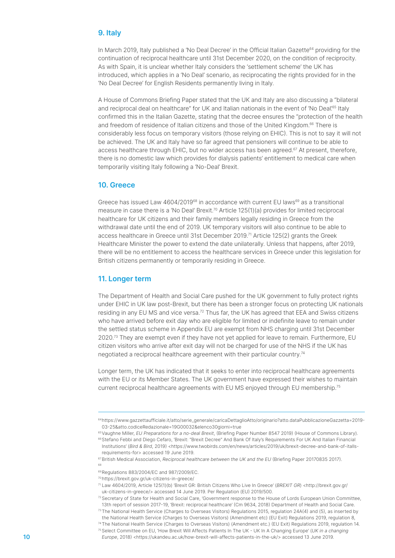# 9. Italy

In March 2019, Italy published a 'No Deal Decree' in the Official Italian Gazette<sup>64</sup> providing for the continuation of reciprocal healthcare until 31st December 2020, on the condition of reciprocity. As with Spain, it is unclear whether Italy considers the 'settlement scheme' the UK has introduced, which applies in a 'No Deal' scenario, as reciprocating the rights provided for in the 'No Deal Decree' for English Residents permanently living in Italy.

A House of Commons Briefing Paper stated that the UK and Italy are also discussing a "bilateral and reciprocal deal on healthcare" for UK and Italian nationals in the event of 'No Deal'.<sup>65</sup> Italy confirmed this in the Italian Gazette, stating that the decree ensures the "protection of the health and freedom of residence of Italian citizens and those of the United Kingdom.<sup>66</sup> There is considerably less focus on temporary visitors (those relying on EHIC). This is not to say it will not be achieved. The UK and Italy have so far agreed that pensioners will continue to be able to access healthcare through EHIC, but no wider access has been agreed.<sup>67</sup> At present, therefore, there is no domestic law which provides for dialysis patients' entitlement to medical care when temporarily visiting Italy following a 'No-Deal' Brexit.

# 10. Greece

Greece has issued Law  $4604/2019^{68}$  in accordance with current EU laws<sup>69</sup> as a transitional measure in case there is a 'No Deal' Brexit.<sup>70</sup> Article 125(1)(a) provides for limited reciprocal healthcare for UK citizens and their family members legally residing in Greece from the withdrawal date until the end of 2019. UK temporary visitors will also continue to be able to access healthcare in Greece until 31st December 2019.<sup>71</sup> Article 125(2) grants the Greek Healthcare Minister the power to extend the date unilaterally. Unless that happens, after 2019, there will be no entitlement to access the healthcare services in Greece under this legislation for British citizens permanently or temporarily residing in Greece.

#### 11. Longer term

The Department of Health and Social Care pushed for the UK government to fully protect rights under EHIC in UK law post-Brexit, but there has been a stronger focus on protecting UK nationals residing in any EU MS and vice versa.<sup>72</sup> Thus far, the UK has agreed that EEA and Swiss citizens who have arrived before exit day who are eligible for limited or indefinite leave to remain under the settled status scheme in Appendix EU are exempt from NHS charging until 31st December 2020.<sup>73</sup> They are exempt even if they have not yet applied for leave to remain. Furthermore, EU citizen visitors who arrive after exit day will not be charged for use of the NHS if the UK has negotiated a reciprocal healthcare agreement with their particular country.<sup>74</sup>

Longer term, the UK has indicated that it seeks to enter into reciprocal healthcare agreements with the EU or its Member States. The UK government have expressed their wishes to maintain current reciprocal healthcare agreements with EU MS enjoyed through EU membership.<sup>75</sup>

68

<sup>&</sup>lt;sup>64</sup>https://www.gazzettaufficiale.it/atto/serie\_generale/caricaDettaglioAtto/originario?atto.dataPubblicazioneGazzetta=2019-03-25&atto.codiceRedazionale=19G00032&elenco30giorni=true

<sup>&</sup>lt;sup>65</sup> Vaughne Miller, EU Preparations for a no-deal Brexit, (Briefing Paper Number 8547 2019) (House of Commons Library).

<sup>66</sup> Stefano Febbi and Diego Cefaro, 'Brexit: "Brexit Decree" And Bank Of Italy's Requirements For UK And Italian Financial Institutions' (Bird & Bird, 2019) <https://www.twobirds.com/en/news/articles/2019/uk/brexit-decree-and-bank-of-itallsrequirements-for> accessed 19 June 2019.

<sup>&</sup>lt;sup>67</sup> British Medical Association, Reciprocal healthcare between the UK and the EU (Briefing Paper 20170835 2017).

<sup>69</sup> Regulations 883/2004/EC and 987/2009/EC.

<sup>70</sup> https://brexit.gov.gr/uk-citizens-in-greece/

<sup>71</sup> Law 4604/2019, Article 125(1)(b) 'Brexit GR: British Citizens Who Live In Greece' (BREXIT GR) <http://brexit.gov.gr/ uk-citizens-in-greece/> accessed 14 June 2019. Per Regulation (EU) 2019/500.

<sup>72</sup>Secretary of State for Health and Social Care, 'Government response to the House of Lords European Union Committee, 13th report of session 2017-19, 'Brexit: reciprocal healthcare' (Cm 9634, 2018) Department of Health and Social Care.

<sup>73</sup> The National Health Service (Charges to Overseas Visitors) Regulations 2015, regulation 24A(4) and (5), as inserted by the National Health Service (Charges to Overseas Visitors) (Amendment etc) (EU Exit) Regulations 2019, regulation 8,

<sup>74</sup> The National Health Service (Charges to Overseas Visitors) (Amendment etc.) (EU Exit) Regulations 2019, regulation 14. 75 Select Committee on EU, 'How Brexit Will Affects Patients In The UK - UK In A Changing Europe' (UK in a changing

<sup>10</sup> Europe, 2018) <https://ukandeu.ac.uk/how-brexit-will-affects-patients-in-the-uk/> accessed 13 June 2019.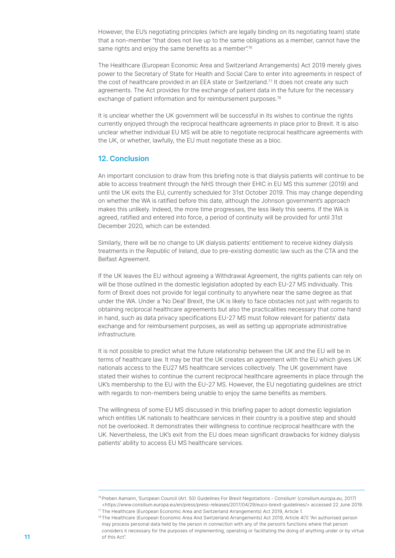However, the EU's negotiating principles (which are legally binding on its negotiating team) state that a non-member "that does not live up to the same obligations as a member, cannot have the same rights and enjoy the same benefits as a member  $76$ 

The Healthcare (European Economic Area and Switzerland Arrangements) Act 2019 merely gives power to the Secretary of State for Health and Social Care to enter into agreements in respect of the cost of healthcare provided in an EEA state or Switzerland.<sup>77</sup> It does not create any such agreements. The Act provides for the exchange of patient data in the future for the necessary exchange of patient information and for reimbursement purposes.<sup>78</sup>

It is unclear whether the UK government will be successful in its wishes to continue the rights currently enjoyed through the reciprocal healthcare agreements in place prior to Brexit. It is also unclear whether individual EU MS will be able to negotiate reciprocal healthcare agreements with the UK, or whether, lawfully, the EU must negotiate these as a bloc.

# 12. Conclusion

An important conclusion to draw from this briefing note is that dialysis patients will continue to be able to access treatment through the NHS through their EHIC in EU MS this summer (2019) and until the UK exits the EU, currently scheduled for 31st October 2019. This may change depending on whether the WA is ratified before this date, although the Johnson government's approach makes this unlikely. Indeed, the more time progresses, the less likely this seems. If the WA is agreed, ratified and entered into force, a period of continuity will be provided for until 31st December 2020, which can be extended.

Similarly, there will be no change to UK dialysis patients' entitlement to receive kidney dialysis treatments in the Republic of Ireland, due to pre-existing domestic law such as the CTA and the Belfast Agreement.

If the UK leaves the EU without agreeing a Withdrawal Agreement, the rights patients can rely on will be those outlined in the domestic legislation adopted by each EU-27 MS individually. This form of Brexit does not provide for legal continuity to anywhere near the same degree as that under the WA. Under a 'No Deal' Brexit, the UK is likely to face obstacles not just with regards to obtaining reciprocal healthcare agreements but also the practicalities necessary that come hand in hand, such as data privacy specifications EU-27 MS must follow relevant for patients' data exchange and for reimbursement purposes, as well as setting up appropriate administrative infrastructure.

It is not possible to predict what the future relationship between the UK and the EU will be in terms of healthcare law. It may be that the UK creates an agreement with the EU which gives UK nationals access to the EU27 MS healthcare services collectively. The UK government have stated their wishes to continue the current reciprocal healthcare agreements in place through the UK's membership to the EU with the EU-27 MS. However, the EU negotiating guidelines are strict with regards to non-members being unable to enjoy the same benefits as members.

The willingness of some EU MS discussed in this briefing paper to adopt domestic legislation which entitles UK nationals to healthcare services in their country is a positive step and should not be overlooked. It demonstrates their willingness to continue reciprocal healthcare with the UK. Nevertheless, the UK's exit from the EU does mean significant drawbacks for kidney dialysis patients' ability to access EU MS healthcare services.

<sup>&</sup>lt;sup>76</sup> Preben Aamann, 'European Council (Art. 50) Guidelines For Brexit Negotiations - Consilium' (consilium.europa.eu, 2017) <https://www.consilium.europa.eu/en/press/press-releases/2017/04/29/euco-brexit-guidelines/> accessed 22 June 2019. 77 The Healthcare (European Economic Area and Switzerland Arrangements) Act 2019, Article 1.

<sup>78</sup> The Healthcare (European Economic Area And Switzerland Arrangements) Act 2019, Article 4(1) "An authorised person may process personal data held by the person in connection with any of the person's functions where that person considers it necessary for the purposes of implementing, operating or facilitating the doing of anything under or by virtue 11 of this Act".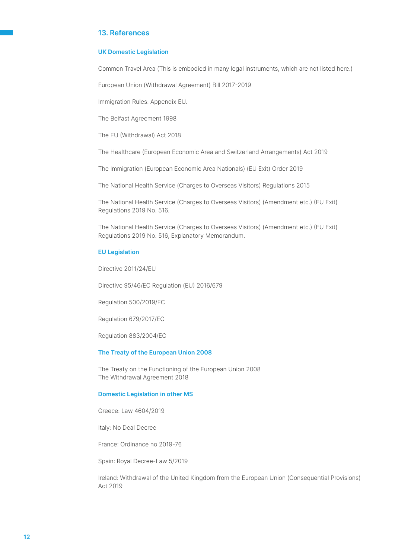### 13. References

#### UK Domestic Legislation

Common Travel Area (This is embodied in many legal instruments, which are not listed here.)

European Union (Withdrawal Agreement) Bill 2017-2019

Immigration Rules: Appendix EU.

The Belfast Agreement 1998

The EU (Withdrawal) Act 2018

The Healthcare (European Economic Area and Switzerland Arrangements) Act 2019

The Immigration (European Economic Area Nationals) (EU Exit) Order 2019

The National Health Service (Charges to Overseas Visitors) Regulations 2015

The National Health Service (Charges to Overseas Visitors) (Amendment etc.) (EU Exit) Regulations 2019 No. 516.

The National Health Service (Charges to Overseas Visitors) (Amendment etc.) (EU Exit) Regulations 2019 No. 516, Explanatory Memorandum.

#### EU Legislation

Directive 2011/24/EU

Directive 95/46/EC Regulation (EU) 2016/679

Regulation 500/2019/EC

Regulation 679/2017/EC

Regulation 883/2004/EC

#### The Treaty of the European Union 2008

The Treaty on the Functioning of the European Union 2008 The Withdrawal Agreement 2018

#### Domestic Legislation in other MS

Greece: Law 4604/2019

Italy: No Deal Decree

France: Ordinance no 2019-76

Spain: Royal Decree-Law 5/2019

Ireland: Withdrawal of the United Kingdom from the European Union (Consequential Provisions) Act 2019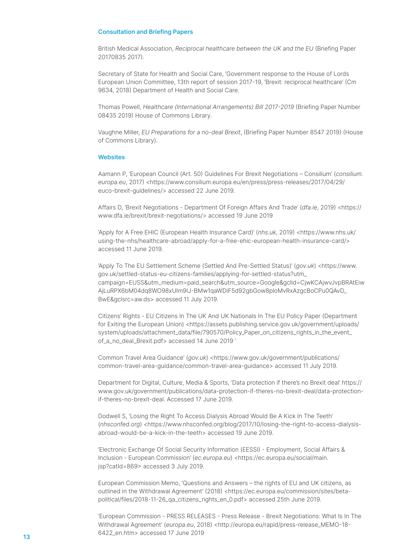#### Consultation and Briefing Papers

British Medical Association, Reciprocal healthcare between the UK and the EU (Briefing Paper 20170835 2017).

Secretary of State for Health and Social Care, 'Government response to the House of Lords European Union Committee, 13th report of session 2017-19, 'Brexit: reciprocal healthcare' (Cm 9634, 2018) Department of Health and Social Care.

Thomas Powell, Healthcare (International Arrangements) Bill 2017-2019 (Briefing Paper Number 08435 2019) House of Commons Library.

Vaughne Miller, EU Preparations for a no-deal Brexit, (Briefing Paper Number 8547 2019) (House of Commons Library).

#### **Websites**

Aamann P, 'European Council (Art. 50) Guidelines For Brexit Negotiations – Consilium' (consilium. europa.eu, 2017) <https://www.consilium.europa.eu/en/press/press-releases/2017/04/29/ euco-brexit-guidelines/> accessed 22 June 2019.

Affairs D, 'Brexit Negotiations - Department Of Foreign Affairs And Trade' (dfa.ie, 2019) <https:// www.dfa.ie/brexit/brexit-negotiations/> accessed 19 June 2019

'Apply for A Free EHIC (European Health Insurance Card)' (nhs.uk, 2019) <https://www.nhs.uk/ using-the-nhs/healthcare-abroad/apply-for-a-free-ehic-european-health-insurance-card/> accessed 11 June 2019.

'Apply To The EU Settlement Scheme (Settled And Pre-Settled Status)' (gov.uk) <https://www. gov.uk/settled-status-eu-citizens-families/applying-for-settled-status?utm\_ campaign=EUSS&utm\_medium=paid\_search&utm\_source=Google&gclid=CjwKCAjwvJvpBRAtEiw AjLuRPX6bM04dq8WO98xUlm9IJ-BMw1qaWDiF5d92gbGow8ploMvRxAzgcBoCPu0QAvD\_ BwE&gclsrc=aw.ds> accessed 11 July 2019.

Citizens' Rights - EU Citizens In The UK And UK Nationals In The EU Policy Paper (Department for Exiting the European Union) <https://assets.publishing.service.gov.uk/government/uploads/ system/uploads/attachment\_data/file/790570/Policy\_Paper\_on\_citizens\_rights\_in\_the\_event\_ of\_a\_no\_deal\_Brexit.pdf> accessed 14 June 2019 '

Common Travel Area Guidance' (gov.uk) <https://www.gov.uk/government/publications/ common-travel-area-guidance/common-travel-area-guidance> accessed 11 July 2019.

Department for Digital, Culture, Media & Sports, 'Data protection if there's no Brexit deal' https:// www.gov.uk/government/publications/data-protection-if-theres-no-brexit-deal/data-protectionif-theres-no-brexit-deal. Accessed 17 June 2019.

Dodwell S, 'Losing the Right To Access Dialysis Abroad Would Be A Kick In The Teeth' (nhsconfed.org) <https://www.nhsconfed.org/blog/2017/10/losing-the-right-to-access-dialysisabroad-would-be-a-kick-in-the-teeth> accessed 19 June 2019.

'Electronic Exchange Of Social Security Information (EESSI) - Employment, Social Affairs & Inclusion - European Commission' (ec.europa.eu) <https://ec.europa.eu/social/main. jsp?catId=869> accessed 3 July 2019.

European Commission Memo, 'Questions and Answers – the rights of EU and UK citizens, as outlined in the Withdrawal Agreement' (2018) <https://ec.europa.eu/commission/sites/betapolitical/files/2018-11-26\_qa\_citizens\_rights\_en\_0.pdf> accessed 25th June 2019.

'European Commission - PRESS RELEASES - Press Release - Brexit Negotiations: What Is In The Withdrawal Agreement' (europa.eu, 2018) <http://europa.eu/rapid/press-release\_MEMO-18- 6422\_en.htm> accessed <sup>17</sup> June <sup>2019</sup> <sup>13</sup>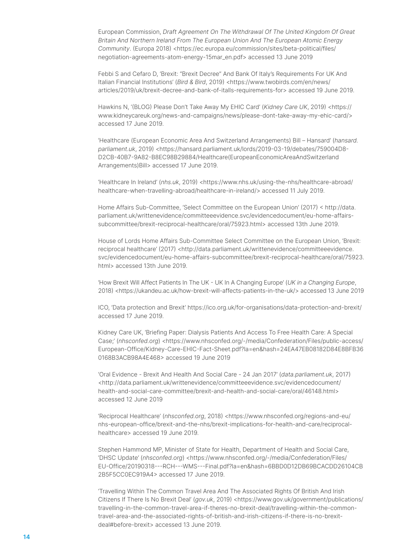European Commission, Draft Agreement On The Withdrawal Of The United Kingdom Of Great Britain And Northern Ireland From The European Union And The European Atomic Energy Community. (Europa 2018) <https://ec.europa.eu/commission/sites/beta-political/files/ negotiation-agreements-atom-energy-15mar\_en.pdf> accessed 13 June 2019

Febbi S and Cefaro D, 'Brexit: "Brexit Decree" And Bank Of Italy's Requirements For UK And Italian Financial Institutions' (Bird & Bird, 2019) <https://www.twobirds.com/en/news/ articles/2019/uk/brexit-decree-and-bank-of-italls-requirements-for> accessed 19 June 2019.

Hawkins N, '(BLOG) Please Don't Take Away My EHIC Card' (Kidney Care UK, 2019) <https:// www.kidneycareuk.org/news-and-campaigns/news/please-dont-take-away-my-ehic-card/> accessed 17 June 2019.

'Healthcare (European Economic Area And Switzerland Arrangements) Bill – Hansard' (hansard. parliament.uk, 2019) <https://hansard.parliament.uk/lords/2019-03-19/debates/759004D8-D2CB-40B7-9A82-B8EC98B29884/Healthcare(EuropeanEconomicAreaAndSwitzerland Arrangements)Bill> accessed 17 June 2019.

'Healthcare In Ireland' (nhs.uk, 2019) <https://www.nhs.uk/using-the-nhs/healthcare-abroad/ healthcare-when-travelling-abroad/healthcare-in-ireland/> accessed 11 July 2019.

Home Affairs Sub-Committee, 'Select Committee on the European Union' (2017) < http://data. parliament.uk/writtenevidence/committeeevidence.svc/evidencedocument/eu-home-affairssubcommittee/brexit-reciprocal-healthcare/oral/75923.html> accessed 13th June 2019.

House of Lords Home Affairs Sub-Committee Select Committee on the European Union, 'Brexit: reciprocal healthcare' (2017) <http://data.parliament.uk/writtenevidence/committeeevidence. svc/evidencedocument/eu-home-affairs-subcommittee/brexit-reciprocal-healthcare/oral/75923. html> accessed 13th June 2019.

'How Brexit Will Affect Patients In The UK - UK In A Changing Europe' (UK in a Changing Europe, 2018) <https://ukandeu.ac.uk/how-brexit-will-affects-patients-in-the-uk/> accessed 13 June 2019

ICO, 'Data protection and Brexit' https://ico.org.uk/for-organisations/data-protection-and-brexit/ accessed 17 June 2019.

Kidney Care UK, 'Briefing Paper: Dialysis Patients And Access To Free Health Care: A Special Case;' (nhsconfed.org) <https://www.nhsconfed.org/-/media/Confederation/Files/public-access/ European-Office/Kidney-Care-EHIC-Fact-Sheet.pdf?la=en&hash=24EA47EB08182D84E8BFB36 0168B3ACB98A4E468> accessed 19 June 2019

'Oral Evidence - Brexit And Health And Social Care - 24 Jan 2017' (data.parliament.uk, 2017) <http://data.parliament.uk/writtenevidence/committeeevidence.svc/evidencedocument/ health-and-social-care-committee/brexit-and-health-and-social-care/oral/46148.html> accessed 12 June 2019

'Reciprocal Healthcare' (nhsconfed.org, 2018) <https://www.nhsconfed.org/regions-and-eu/ nhs-european-office/brexit-and-the-nhs/brexit-implications-for-health-and-care/reciprocalhealthcare> accessed 19 June 2019.

Stephen Hammond MP, Minister of State for Health, Department of Health and Social Care, 'DHSC Update' (nhsconfed.org) <https://www.nhsconfed.org/-/media/Confederation/Files/ EU-Office/20190318---RCH---WMS---Final.pdf?la=en&hash=6BBD0D12DB69BCACDD26104CB 2B5F5CC0EC919A4> accessed 17 June 2019.

'Travelling Within The Common Travel Area And The Associated Rights Of British And Irish Citizens If There Is No Brexit Deal' (gov.uk, 2019) <https://www.gov.uk/government/publications/ travelling-in-the-common-travel-area-if-theres-no-brexit-deal/travelling-within-the-commontravel-area-and-the-associated-rights-of-british-and-irish-citizens-if-there-is-no-brexitdeal#before-brexit> accessed 13 June 2019.